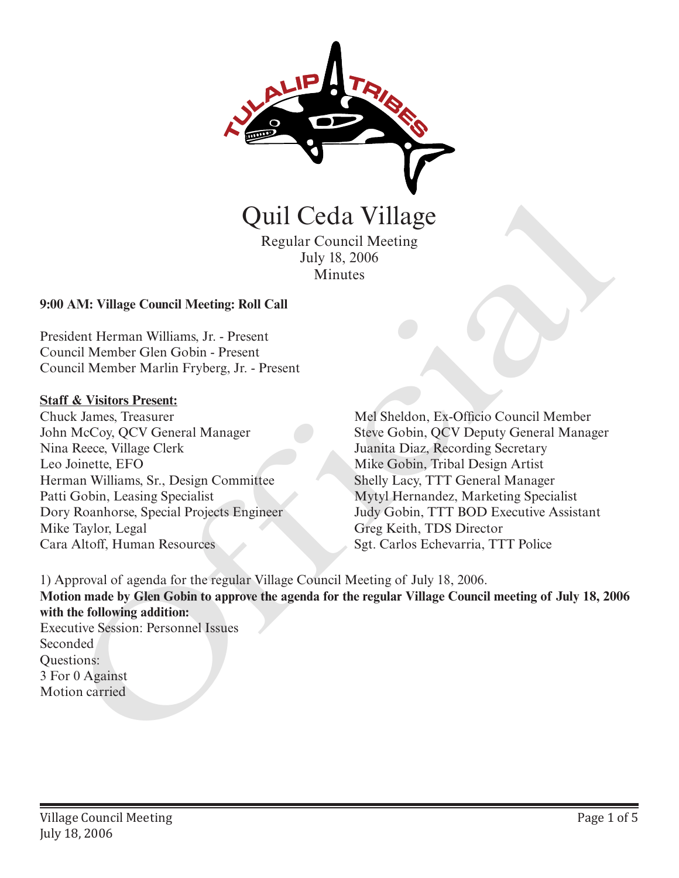

Regular Council Meeting July 18, 2006 **Minutes** 

#### **9:00 AM: Village Council Meeting: Roll Call**

President Herman Williams, Jr. - Present Council Member Glen Gobin - Present Council Member Marlin Fryberg, Jr. - Present

#### **Staff & Visitors Present:**

Chuck James, Treasurer John McCoy, QCV General Manager Nina Reece, Village Clerk Leo Joinette, EFO Herman Williams, Sr., Design Committee Patti Gobin, Leasing Specialist Dory Roanhorse, Special Projects Engineer Mike Taylor, Legal Cara Altoff, Human Resources

Mel Sheldon, Ex-Officio Council Member Steve Gobin, QCV Deputy General Manager Juanita Diaz, Recording Secretary Mike Gobin, Tribal Design Artist Shelly Lacy, TTT General Manager Mytyl Hernandez, Marketing Specialist Judy Gobin, TTT BOD Executive Assistant Greg Keith, TDS Director Quil Cedia Village<br>
Regular Council Meeting<br>
Iuly 18, 2006<br>
Minutes<br>
Iuly 18, 2006<br>
Minutes<br>
AM: Village Council Meeting: Roll Call<br>
dcnt Herman Williams, Jr. - Present<br>
ricil Member Clen Gobin - Present<br>
K arsets Cressert

1) Approval of agenda for the regular Village Council Meeting of July 18, 2006. **Motion made by Glen Gobin to approve the agenda for the regular Village Council meeting of July 18, 2006 with the following addition:** Executive Session: Personnel Issues

Seconded Questions: 3 For 0 Against Motion carried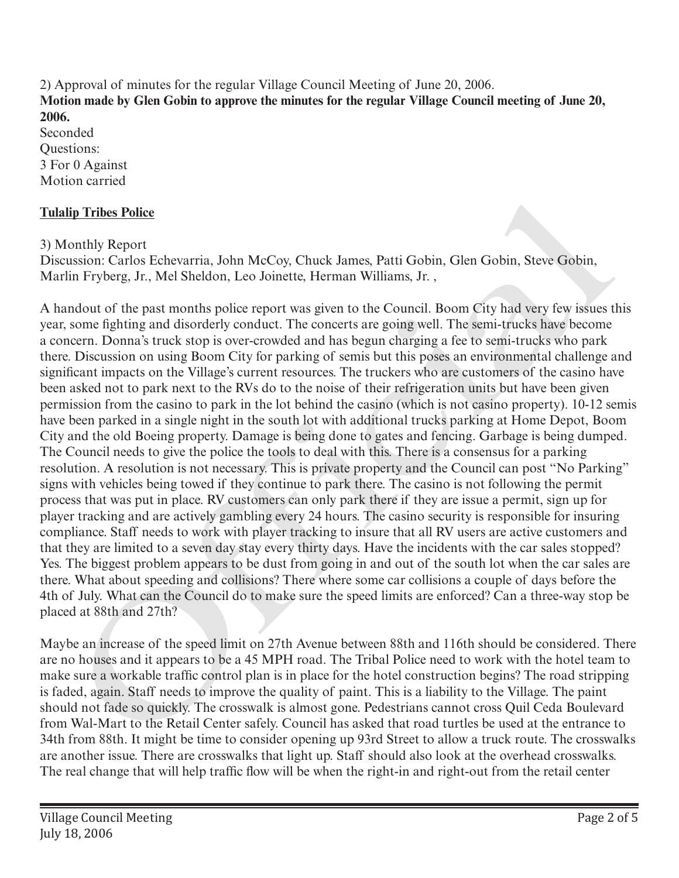2) Approval of minutes for the regular Village Council Meeting of June 20, 2006. **Motion made by Glen Gobin to approve the minutes for the regular Village Council meeting of June 20, 2006.**

Seconded Questions: 3 For 0 Against Motion carried

# **Tulalip Tribes Police**

3) Monthly Report

Discussion: Carlos Echevarria, John McCoy, Chuck James, Patti Gobin, Glen Gobin, Steve Gobin, Marlin Fryberg, Jr., Mel Sheldon, Leo Joinette, Herman Williams, Jr. ,

A handout of the past months police report was given to the Council. Boom City had very few issues this year, some fighting and disorderly conduct. The concerts are going well. The semi-trucks have become a concern. Donna's truck stop is over-crowded and has begun charging a fee to semi-trucks who park there. Discussion on using Boom City for parking of semis but this poses an environmental challenge and significant impacts on the Village's current resources. The truckers who are customers of the casino have been asked not to park next to the RVs do to the noise of their refrigeration units but have been given permission from the casino to park in the lot behind the casino (which is not casino property). 10-12 semis have been parked in a single night in the south lot with additional trucks parking at Home Depot, Boom City and the old Boeing property. Damage is being done to gates and fencing. Garbage is being dumped. The Council needs to give the police the tools to deal with this. There is a consensus for a parking resolution. A resolution is not necessary. This is private property and the Council can post "No Parking" signs with vehicles being towed if they continue to park there. The casino is not following the permit process that was put in place. RV customers can only park there if they are issue a permit, sign up for player tracking and are actively gambling every 24 hours. The casino security is responsible for insuring compliance. Staff needs to work with player tracking to insure that all RV users are active customers and that they are limited to a seven day stay every thirty days. Have the incidents with the car sales stopped? Yes. The biggest problem appears to be dust from going in and out of the south lot when the car sales are there. What about speeding and collisions? There where some car collisions a couple of days before the 4th of July. What can the Council do to make sure the speed limits are enforced? Can a three-way stop be placed at 88th and 27th? lip Tribes Police<br>
onthly Report<br>
onthly Report<br>
onthly Report<br>
combic Relations: Calvarria, John McCoy, Chuck James, Patti Gobin, Glen Gobin, Steve Gobin,<br>
in Fryberg, Jr., Mel Sheldon, Leo Joinette, Herman Williams, Jr.

Maybe an increase of the speed limit on 27th Avenue between 88th and 116th should be considered. There are no houses and it appears to be a 45 MPH road. The Tribal Police need to work with the hotel team to make sure a workable traffic control plan is in place for the hotel construction begins? The road stripping is faded, again. Staff needs to improve the quality of paint. This is a liability to the Village. The paint should not fade so quickly. The crosswalk is almost gone. Pedestrians cannot cross Quil Ceda Boulevard from Wal-Mart to the Retail Center safely. Council has asked that road turtles be used at the entrance to 34th from 88th. It might be time to consider opening up 93rd Street to allow a truck route. The crosswalks are another issue. There are crosswalks that light up. Staff should also look at the overhead crosswalks. The real change that will help traffic flow will be when the right-in and right-out from the retail center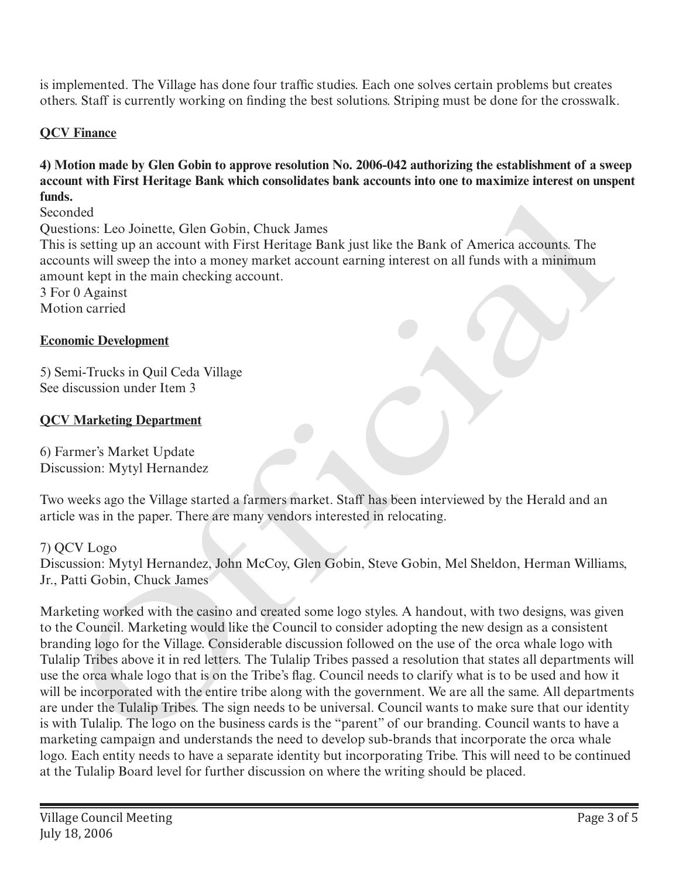is implemented. The Village has done four traffic studies. Each one solves certain problems but creates others. Staff is currently working on finding the best solutions. Striping must be done for the crosswalk.

## **QCV Finance**

### **4) Motion made by Glen Gobin to approve resolution No. 2006-042 authorizing the establishment of a sweep account with First Heritage Bank which consolidates bank accounts into one to maximize interest on unspent funds.**

Seconded

Questions: Leo Joinette, Glen Gobin, Chuck James

This is setting up an account with First Heritage Bank just like the Bank of America accounts. The accounts will sweep the into a money market account earning interest on all funds with a minimum amount kept in the main checking account.

3 For 0 Against Motion carried

### **Economic Development**

5) Semi-Trucks in Quil Ceda Village See discussion under Item 3

### **QCV Marketing Department**

6) Farmer's Market Update Discussion: Mytyl Hernandez

Two weeks ago the Village started a farmers market. Staff has been interviewed by the Herald and an article was in the paper. There are many vendors interested in relocating.

#### 7) QCV Logo

Discussion: Mytyl Hernandez, John McCoy, Glen Gobin, Steve Gobin, Mel Sheldon, Herman Williams, Jr., Patti Gobin, Chuck James

Marketing worked with the casino and created some logo styles. A handout, with two designs, was given to the Council. Marketing would like the Council to consider adopting the new design as a consistent branding logo for the Village. Considerable discussion followed on the use of the orca whale logo with Tulalip Tribes above it in red letters. The Tulalip Tribes passed a resolution that states all departments will use the orca whale logo that is on the Tribe's flag. Council needs to clarify what is to be used and how it will be incorporated with the entire tribe along with the government. We are all the same. All departments are under the Tulalip Tribes. The sign needs to be universal. Council wants to make sure that our identity is with Tulalip. The logo on the business cards is the "parent" of our branding. Council wants to have a marketing campaign and understands the need to develop sub-brands that incorporate the orca whale logo. Each entity needs to have a separate identity but incorporating Tribe. This will need to be continued at the Tulalip Board level for further discussion on where the writing should be placed. Official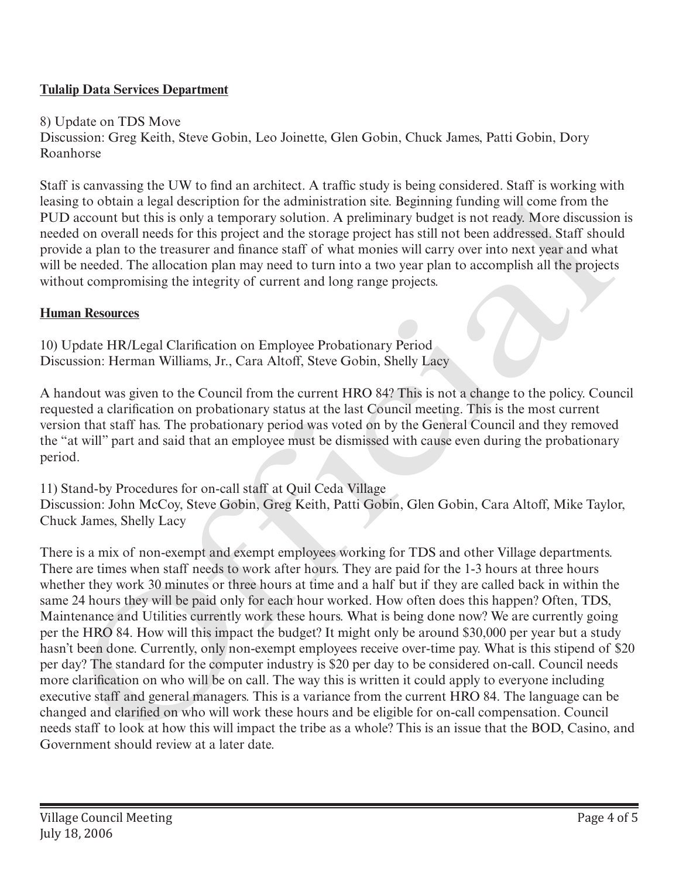# **Tulalip Data Services Department**

8) Update on TDS Move

Discussion: Greg Keith, Steve Gobin, Leo Joinette, Glen Gobin, Chuck James, Patti Gobin, Dory Roanhorse

Staff is canvassing the UW to find an architect. A traffic study is being considered. Staff is working with leasing to obtain a legal description for the administration site. Beginning funding will come from the PUD account but this is only a temporary solution. A preliminary budget is not ready. More discussion is needed on overall needs for this project and the storage project has still not been addressed. Staff should provide a plan to the treasurer and finance staff of what monies will carry over into next year and what will be needed. The allocation plan may need to turn into a two year plan to accomplish all the projects without compromising the integrity of current and long range projects.

# **Human Resources**

10) Update HR/Legal Clarification on Employee Probationary Period Discussion: Herman Williams, Jr., Cara Altoff, Steve Gobin, Shelly Lacy

A handout was given to the Council from the current HRO 84? This is not a change to the policy. Council requested a clarification on probationary status at the last Council meeting. This is the most current version that staff has. The probationary period was voted on by the General Council and they removed the "at will" part and said that an employee must be dismissed with cause even during the probationary period.

11) Stand-by Procedures for on-call staff at Quil Ceda Village Discussion: John McCoy, Steve Gobin, Greg Keith, Patti Gobin, Glen Gobin, Cara Altoff, Mike Taylor, Chuck James, Shelly Lacy

There is a mix of non-exempt and exempt employees working for TDS and other Village departments. There are times when staff needs to work after hours. They are paid for the 1-3 hours at three hours whether they work 30 minutes or three hours at time and a half but if they are called back in within the same 24 hours they will be paid only for each hour worked. How often does this happen? Often, TDS, Maintenance and Utilities currently work these hours. What is being done now? We are currently going per the HRO 84. How will this impact the budget? It might only be around \$30,000 per year but a study hasn't been done. Currently, only non-exempt employees receive over-time pay. What is this stipend of \$20 per day? The standard for the computer industry is \$20 per day to be considered on-call. Council needs more clarification on who will be on call. The way this is written it could apply to everyone including executive staff and general managers. This is a variance from the current HRO 84. The language can be changed and clarified on who will work these hours and be eligible for on-call compensation. Council needs staff to look at how this will impact the tribe as a whole? This is an issue that the BOD, Casino, and leasing to obtain a leagal description for the administration site. Beginning funding will come from the presented on overall needs for this is only at empty at a later one official review at a later one official provide a